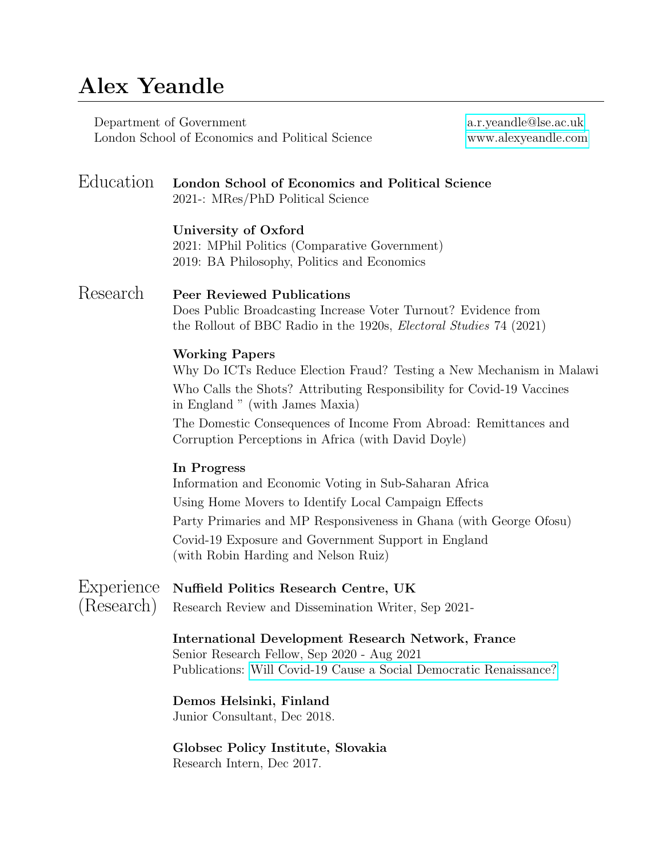## Alex Yeandle

Department of Government [a.r.yeandle@lse.ac.uk](mailto:a.r.yeandle@lse.ac.uk) London School of Economics and Political Science

| Education                | London School of Economics and Political Science<br>2021-: MRes/PhD Political Science                                                                                                                                                                                                                                                |
|--------------------------|--------------------------------------------------------------------------------------------------------------------------------------------------------------------------------------------------------------------------------------------------------------------------------------------------------------------------------------|
|                          | University of Oxford<br>2021: MPhil Politics (Comparative Government)<br>2019: BA Philosophy, Politics and Economics                                                                                                                                                                                                                 |
| Research                 | <b>Peer Reviewed Publications</b><br>Does Public Broadcasting Increase Voter Turnout? Evidence from<br>the Rollout of BBC Radio in the 1920s, <i>Electoral Studies</i> 74 (2021)                                                                                                                                                     |
|                          | <b>Working Papers</b><br>Why Do ICTs Reduce Election Fraud? Testing a New Mechanism in Malawi<br>Who Calls the Shots? Attributing Responsibility for Covid-19 Vaccines<br>in England " (with James Maxia)<br>The Domestic Consequences of Income From Abroad: Remittances and<br>Corruption Perceptions in Africa (with David Doyle) |
|                          | In Progress<br>Information and Economic Voting in Sub-Saharan Africa<br>Using Home Movers to Identify Local Campaign Effects<br>Party Primaries and MP Responsiveness in Ghana (with George Ofosu)<br>Covid-19 Exposure and Government Support in England<br>(with Robin Harding and Nelson Ruiz)                                    |
| Experience<br>(Research) | Nuffield Politics Research Centre, UK<br>Research Review and Dissemination Writer, Sep 2021-                                                                                                                                                                                                                                         |
|                          | <b>International Development Research Network, France</b><br>Senior Research Fellow, Sep 2020 - Aug 2021<br>Publications: Will Covid-19 Cause a Social Democratic Renaissance?                                                                                                                                                       |
|                          | Demos Helsinki, Finland<br>Junior Consultant, Dec 2018.                                                                                                                                                                                                                                                                              |
|                          | Globsec Policy Institute, Slovakia<br>Research Intern, Dec 2017.                                                                                                                                                                                                                                                                     |